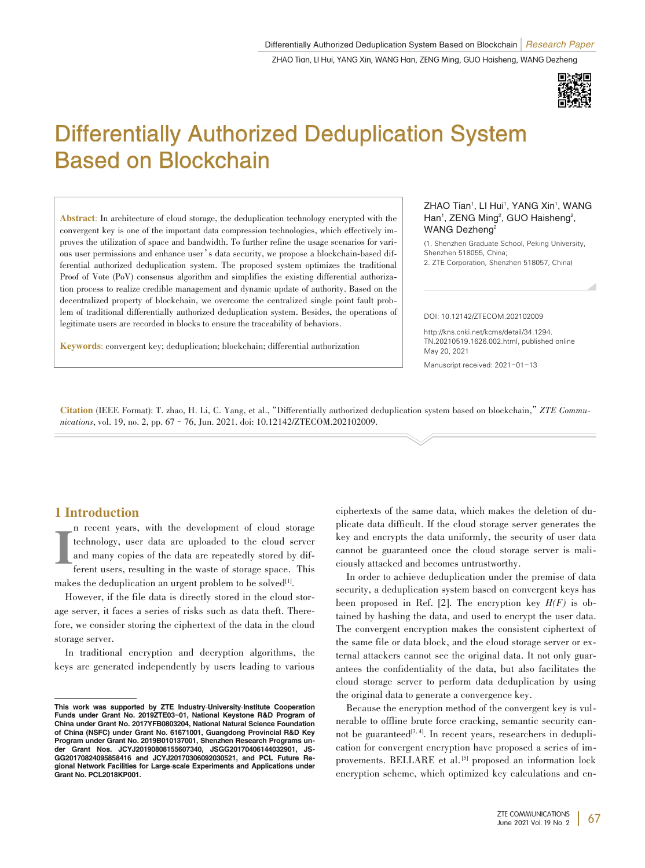

# Differentially Authorized Deduplication System Based on Blockchain

Abstract: In architecture of cloud storage, the deduplication technology encrypted with the convergent key is one of the important data compression technologies, which effectively improves the utilization of space and bandwidth. To further refine the usage scenarios for various user permissions and enhance user's data security, we propose a blockchain-based differential authorized deduplication system. The proposed system optimizes the traditional Proof of Vote (PoV) consensus algorithm and simplifies the existing differential authorization process to realize credible management and dynamic update of authority. Based on the decentralized property of blockchain, we overcome the centralized single point fault problem of traditional differentially authorized deduplication system. Besides, the operations of legitimate users are recorded in blocks to ensure the traceability of behaviors.

Keywords: convergent key; deduplication; blockchain; differential authorization

#### ZHAO Tian<sup>1</sup>, LI Hui<sup>1</sup>, YANG Xin<sup>1</sup>, WANG Han<sup>1</sup>, ZENG Ming<sup>2</sup>, GUO Haisheng<sup>2</sup>, WANG Dezheng<sup>2</sup>

(1. Shenzhen Graduate School, Peking University, Shenzhen 518055, China;

2. ZTE Corporation, Shenzhen 518057, China)

#### DOI: 10.12142/ZTECOM.202102009

http://kns.cnki.net/kcms/detail/34.1294. TN.20210519.1626.002.html, published online May 20, 2021

Manuscript received: 2021-01-13

Citation (IEEE Format): T. zhao, H. Li, C. Yang, et al.,"Differentially authorized deduplication system based on blockchain,"*ZTE Commu⁃ nications*, vol. 19, no. 2, pp. 67–76, Jun. 2021. doi: 10.12142/ZTECOM.202102009.

## 1 Introduction

I n recent years, with the development of cloud storage technology, user data are uploaded to the cloud server and many copies of the data are repeatedly stored by different users, resulting in the waste of storage space. This

makes the deduplication an urgent problem to be solved $\mathbb{I}^{[1]}$ .

However, if the file data is directly stored in the cloud storage server, it faces a series of risks such as data theft. Therefore, we consider storing the ciphertext of the data in the cloud storage server.

In traditional encryption and decryption algorithms, the keys are generated independently by users leading to various

ciphertexts of the same data, which makes the deletion of du⁃ plicate data difficult. If the cloud storage server generates the key and encrypts the data uniformly, the security of user data cannot be guaranteed once the cloud storage server is maliciously attacked and becomes untrustworthy.

In order to achieve deduplication under the premise of data security, a deduplication system based on convergent keys has been proposed in Ref. [2]. The encryption key  $H(F)$  is obtained by hashing the data, and used to encrypt the user data. The convergent encryption makes the consistent ciphertext of the same file or data block, and the cloud storage server or external attackers cannot see the original data. It not only guarantees the confidentiality of the data, but also facilitates the cloud storage server to perform data deduplication by using the original data to generate a convergence key.

Because the encryption method of the convergent key is vulnerable to offline brute force cracking, semantic security cannot be guaranteed<sup>[3,4]</sup>. In recent years, researchers in deduplication for convergent encryption have proposed a series of im⁃ provements. BELLARE et al.<sup>[5]</sup> proposed an information lock encryption scheme, which optimized key calculations and en-

This work was supported by ZTE Industry-University-Institute Cooperation Funds under Grant No. 2019ZTE03-01, National Keystone R&D Program of China under Grant No. 2017YFB0803204, National Natural Science Foundation of China (NSFC) under Grant No. 61671001, Guangdong Provincial R&D Key Program under Grant No. 2019B010137001, Shenzhen Research Programs under Grant Nos. JCYJ20190808155607340, JSGG20170406144032901, JS-GG20170824095858416 and JCYJ20170306092030521, and PCL Future Regional Network Facilities for Large-scale Experiments and Applications under Grant No. PCL2018KP001.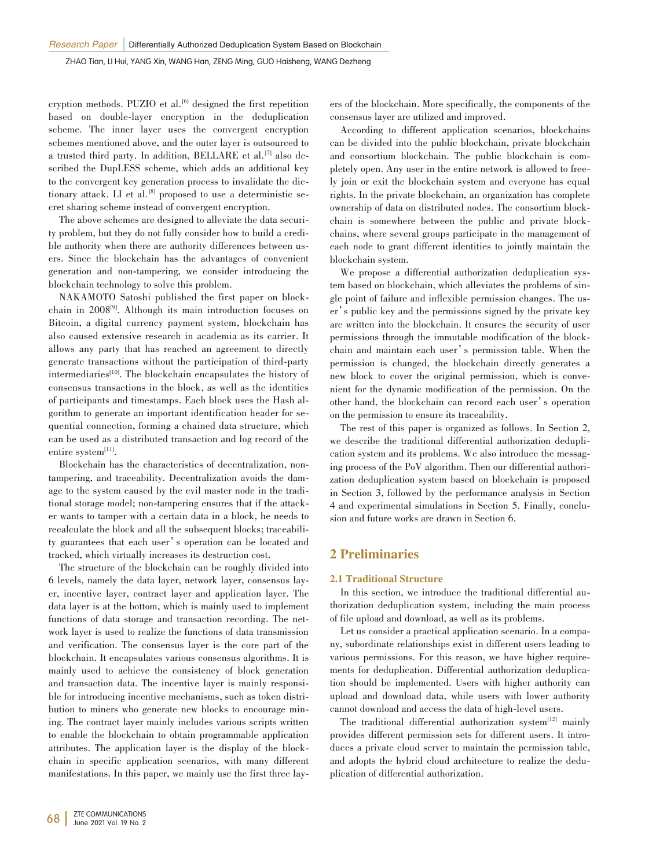cryption methods. PUZIO et al. [6] designed the first repetition based on double-layer encryption in the deduplication scheme. The inner layer uses the convergent encryption schemes mentioned above, and the outer layer is outsourced to a trusted third party. In addition, BELLARE et al.<sup>[7]</sup> also described the DupLESS scheme, which adds an additional key to the convergent key generation process to invalidate the dictionary attack. LI et al.<sup>[8]</sup> proposed to use a deterministic secret sharing scheme instead of convergent encryption.

The above schemes are designed to alleviate the data security problem, but they do not fully consider how to build a credible authority when there are authority differences between users. Since the blockchain has the advantages of convenient generation and non-tampering, we consider introducing the blockchain technology to solve this problem.

NAKAMOTO Satoshi published the first paper on block⁃ chain in 2008[9] . Although its main introduction focuses on Bitcoin, a digital currency payment system, blockchain has also caused extensive research in academia as its carrier. It allows any party that has reached an agreement to directly generate transactions without the participation of third-party intermediaries<sup>[10]</sup>. The blockchain encapsulates the history of consensus transactions in the block, as well as the identities of participants and timestamps. Each block uses the Hash algorithm to generate an important identification header for sequential connection, forming a chained data structure, which can be used as a distributed transaction and log record of the entire system<sup>[11]</sup>.

Blockchain has the characteristics of decentralization, nontampering, and traceability. Decentralization avoids the damage to the system caused by the evil master node in the traditional storage model; non-tampering ensures that if the attacker wants to tamper with a certain data in a block, he needs to recalculate the block and all the subsequent blocks; traceability guarantees that each user's operation can be located and tracked, which virtually increases its destruction cost.

The structure of the blockchain can be roughly divided into 6 levels, namely the data layer, network layer, consensus layer, incentive layer, contract layer and application layer. The data layer is at the bottom, which is mainly used to implement functions of data storage and transaction recording. The network layer is used to realize the functions of data transmission and verification. The consensus layer is the core part of the blockchain. It encapsulates various consensus algorithms. It is mainly used to achieve the consistency of block generation and transaction data. The incentive layer is mainly responsible for introducing incentive mechanisms, such as token distribution to miners who generate new blocks to encourage mining. The contract layer mainly includes various scripts written to enable the blockchain to obtain programmable application attributes. The application layer is the display of the block⁃ chain in specific application scenarios, with many different manifestations. In this paper, we mainly use the first three lay-

ers of the blockchain. More specifically, the components of the consensus layer are utilized and improved.

According to different application scenarios, blockchains can be divided into the public blockchain, private blockchain and consortium blockchain. The public blockchain is completely open. Any user in the entire network is allowed to freely join or exit the blockchain system and everyone has equal rights. In the private blockchain, an organization has complete ownership of data on distributed nodes. The consortium block⁃ chain is somewhere between the public and private block⁃ chains, where several groups participate in the management of each node to grant different identities to jointly maintain the blockchain system.

We propose a differential authorization deduplication system based on blockchain, which alleviates the problems of single point of failure and inflexible permission changes. The user's public key and the permissions signed by the private key are written into the blockchain. It ensures the security of user permissions through the immutable modification of the block⁃ chain and maintain each user's permission table. When the permission is changed, the blockchain directly generates a new block to cover the original permission, which is convenient for the dynamic modification of the permission. On the other hand, the blockchain can record each user's operation on the permission to ensure its traceability.

The rest of this paper is organized as follows. In Section 2, we describe the traditional differential authorization deduplication system and its problems. We also introduce the messaging process of the PoV algorithm. Then our differential authorization deduplication system based on blockchain is proposed in Section 3, followed by the performance analysis in Section 4 and experimental simulations in Section 5. Finally, conclu⁃ sion and future works are drawn in Section 6.

## 2 Preliminaries

#### 2.1 Traditional Structure

In this section, we introduce the traditional differential authorization deduplication system, including the main process of file upload and download, as well as its problems.

Let us consider a practical application scenario. In a company, subordinate relationships exist in different users leading to various permissions. For this reason, we have higher require ments for deduplication. Differential authorization deduplication should be implemented. Users with higher authority can upload and download data, while users with lower authority cannot download and access the data of high-level users.

The traditional differential authorization system<sup>[12]</sup> mainly provides different permission sets for different users. It introduces a private cloud server to maintain the permission table, and adopts the hybrid cloud architecture to realize the deduplication of differential authorization.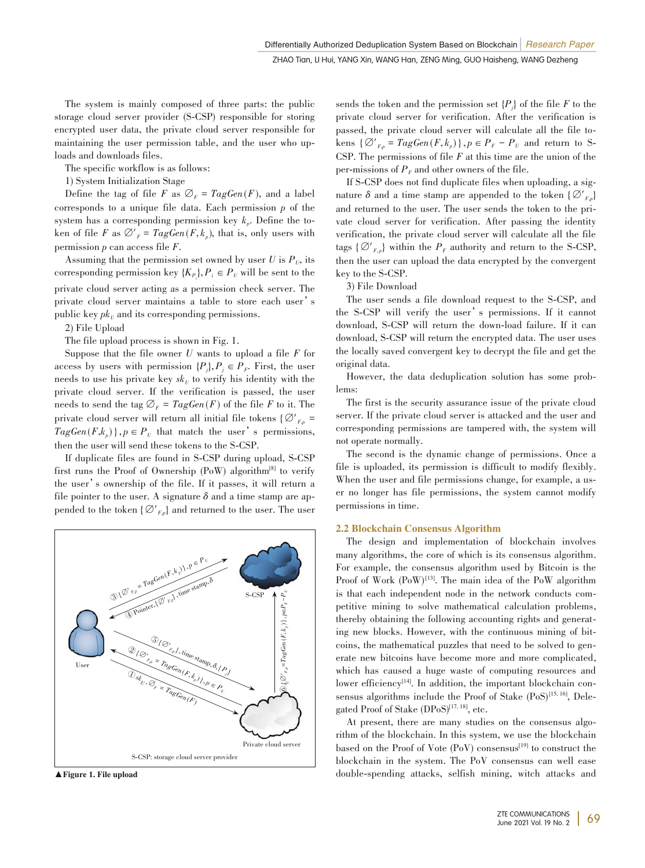The system is mainly composed of three parts: the public storage cloud server provider (S-CSP) responsible for storing encrypted user data, the private cloud server responsible for maintaining the user permission table, and the user who uploads and downloads files.

The specific workflow is as follows:

1) System Initialization Stage

Define the tag of file *F* as  $\varnothing$ <sub>*F*</sub> =  $TagGen(F)$ , and a label corresponds to a unique file data. Each permission *p* of the system has a corresponding permission key  $k_p$ . Define the token of file *F* as  $\mathcal{O}'_F$  =  $TagGen(F, k_p)$ , that is, only users with permission *p* can access file *F*.

Assuming that the permission set owned by user  $U$  is  $P_{U}$ , its corresponding permission key  $\{K_{P_i}\}, P_i \in P_U$  will be sent to the private cloud server acting as a permission check server. The private cloud server maintains a table to store each user's public key  $pk_U$  and its corresponding permissions.

2) File Upload

The file upload process is shown in Fig. 1.

Suppose that the file owner *U* wants to upload a file *F* for access by users with permission  $\{P_j\}$ ,  $P_j \in P_F$ . First, the user needs to use his private key  $sk_U$  to verify his identity with the private cloud server. If the verification is passed, the user needs to send the tag  $\varnothing_F$  =  $TagGen(F)$  of the file *F* to it. The private cloud server will return all initial file tokens { $\mathcal{O}'_{F,p}$  =  $TagGen(F, k_p) \}, p \in P_U$  that match the user's permissions, then the user will send these tokens to the S-CSP.

If duplicate files are found in S-CSP during upload, S-CSP first runs the Proof of Ownership (PoW) algorithm[8] to verify the user's ownership of the file. If it passes, it will return a file pointer to the user. A signature  $\delta$  and a time stamp are appended to the token  $\{\varnothing'_{F,p}\}$  and returned to the user. The user



sends the token and the permission set  ${P_j}$  of the file *F* to the private cloud server for verification. After the verification is passed, the private cloud server will calculate all the file tokens  $\{\emptyset'_{F_p} = \text{TagGen}(F, k_p)\}\$ ,  $p \in P_F - P_U$  and return to S-CSP. The permissions of file *F* at this time are the union of the per-missions of  $P<sub>F</sub>$  and other owners of the file.

If S-CSP does not find duplicate files when uploading, a signature  $\delta$  and a time stamp are appended to the token  $\{\mathcal{Q'}_{F_n}\}$ and returned to the user. The user sends the token to the private cloud server for verification. After passing the identity verification, the private cloud server will calculate all the file tags  $\{\varnothing'_{F,\mathit{p}}\}$  within the  $P_F$  authority and return to the S-CSP, then the user can upload the data encrypted by the convergent key to the S-CSP.

3) File Download

The user sends a file download request to the S-CSP, and the S-CSP will verify the user's permissions. If it cannot download, S-CSP will return the down-load failure. If it can download, S-CSP will return the encrypted data. The user uses the locally saved convergent key to decrypt the file and get the original data.

However, the data deduplication solution has some problems:

The first is the security assurance issue of the private cloud server. If the private cloud server is attacked and the user and corresponding permissions are tampered with, the system will not operate normally.

The second is the dynamic change of permissions. Once a file is uploaded, its permission is difficult to modify flexibly. When the user and file permissions change, for example, a user no longer has file permissions, the system cannot modify permissions in time.

#### 2.2 Blockchain Consensus Algorithm

The design and implementation of blockchain involves many algorithms, the core of which is its consensus algorithm. For example, the consensus algorithm used by Bitcoin is the Proof of Work  $(PoW)^{13}$ . The main idea of the PoW algorithm is that each independent node in the network conducts competitive mining to solve mathematical calculation problems, thereby obtaining the following accounting rights and generating new blocks. However, with the continuous mining of bitcoins, the mathematical puzzles that need to be solved to generate new bitcoins have become more and more complicated, which has caused a huge waste of computing resources and lower efficiency<sup>[14]</sup>. In addition, the important blockchain consensus algorithms include the Proof of Stake (PoS)<sup>[15, 16]</sup>, Delegated Proof of Stake (DPoS)<sup>[17, 18]</sup>, etc.

At present, there are many studies on the consensus algorithm of the blockchain. In this system, we use the blockchain based on the Proof of Vote (PoV) consensus<sup>[19]</sup> to construct the blockchain in the system. The PoV consensus can well ease ▲Figure 1. File upload double-spending attacks, selfish mining, witch attacks and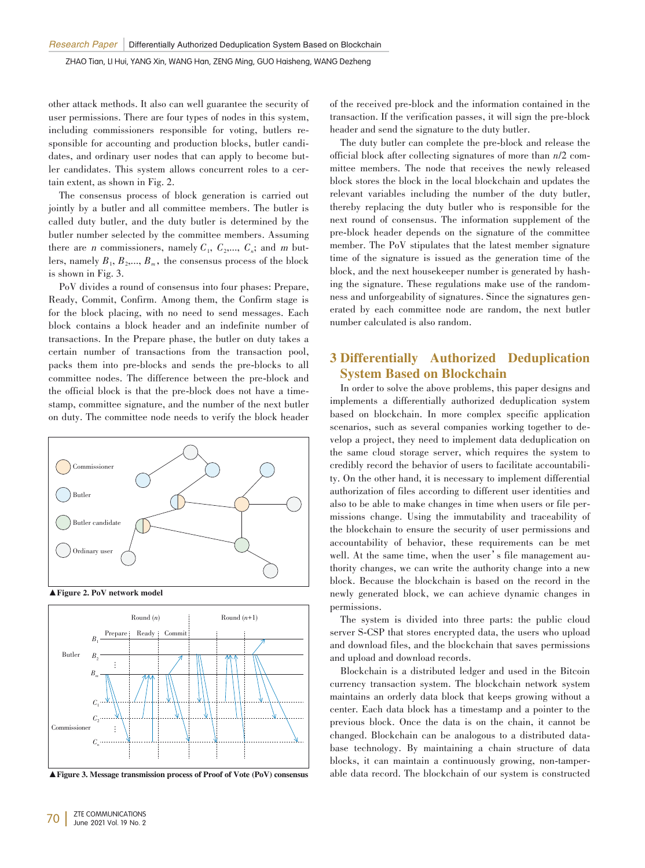other attack methods. It also can well guarantee the security of user permissions. There are four types of nodes in this system, including commissioners responsible for voting, butlers responsible for accounting and production blocks, butler candidates, and ordinary user nodes that can apply to become butler candidates. This system allows concurrent roles to a certain extent, as shown in Fig. 2.

The consensus process of block generation is carried out jointly by a butler and all committee members. The butler is called duty butler, and the duty butler is determined by the butler number selected by the committee members. Assuming there are *n* commissioners, namely  $C_1$ ,  $C_2$ ,...,  $C_n$ ; and *m* butlers, namely  $B_1, B_2, \ldots, B_m$ , the consensus process of the block is shown in Fig. 3.

PoV divides a round of consensus into four phases: Prepare, Ready, Commit, Confirm. Among them, the Confirm stage is for the block placing, with no need to send messages. Each block contains a block header and an indefinite number of transactions. In the Prepare phase, the butler on duty takes a certain number of transactions from the transaction pool, packs them into pre-blocks and sends the pre-blocks to all committee nodes. The difference between the pre-block and the official block is that the pre-block does not have a timestamp, committee signature, and the number of the next butler on duty. The committee node needs to verify the block header



▲Figure 2. PoV network model



▲Figure 3. Message transmission process of Proof of Vote (PoV) consensus

of the received pre-block and the information contained in the transaction. If the verification passes, it will sign the pre-block header and send the signature to the duty butler.

The duty butler can complete the pre-block and release the official block after collecting signatures of more than *n*/2 com⁃ mittee members. The node that receives the newly released block stores the block in the local blockchain and updates the relevant variables including the number of the duty butler, thereby replacing the duty butler who is responsible for the next round of consensus. The information supplement of the pre-block header depends on the signature of the committee member. The PoV stipulates that the latest member signature time of the signature is issued as the generation time of the block, and the next housekeeper number is generated by hashing the signature. These regulations make use of the randomness and unforgeability of signatures. Since the signatures generated by each committee node are random, the next butler number calculated is also random.

# 3 Differentially Authorized Deduplication System Based on Blockchain

In order to solve the above problems, this paper designs and implements a differentially authorized deduplication system based on blockchain. In more complex specific application scenarios, such as several companies working together to develop a project, they need to implement data deduplication on the same cloud storage server, which requires the system to credibly record the behavior of users to facilitate accountability. On the other hand, it is necessary to implement differential authorization of files according to different user identities and also to be able to make changes in time when users or file permissions change. Using the immutability and traceability of the blockchain to ensure the security of user permissions and accountability of behavior, these requirements can be met well. At the same time, when the user's file management authority changes, we can write the authority change into a new block. Because the blockchain is based on the record in the newly generated block, we can achieve dynamic changes in permissions.

The system is divided into three parts: the public cloud server S-CSP that stores encrypted data, the users who upload and download files, and the blockchain that saves permissions and upload and download records.

Blockchain is a distributed ledger and used in the Bitcoin currency transaction system. The blockchain network system maintains an orderly data block that keeps growing without a center. Each data block has a timestamp and a pointer to the previous block. Once the data is on the chain, it cannot be changed. Blockchain can be analogous to a distributed database technology. By maintaining a chain structure of data blocks, it can maintain a continuously growing, non-tamperable data record. The blockchain of our system is constructed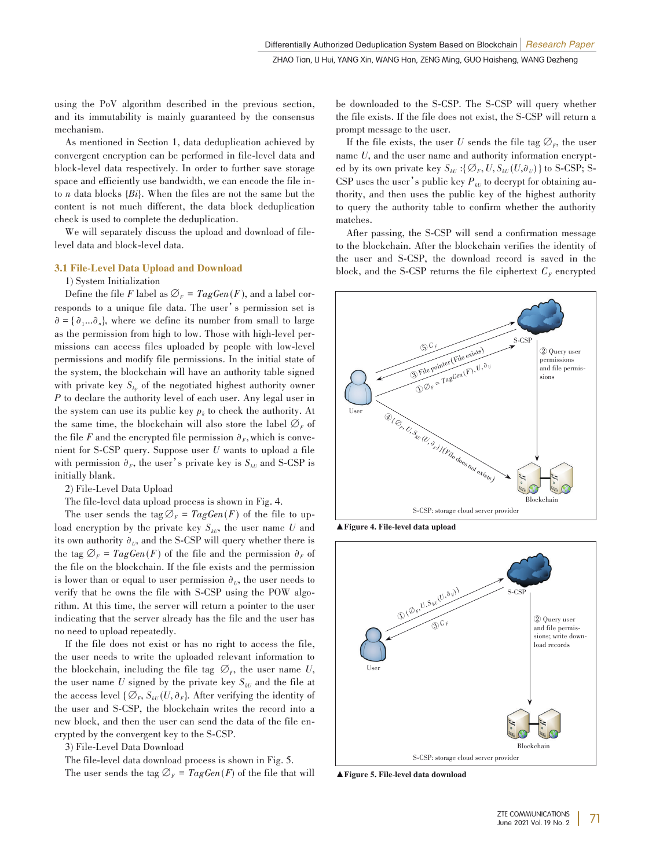using the PoV algorithm described in the previous section, and its immutability is mainly guaranteed by the consensus mechanism.

As mentioned in Section 1, data deduplication achieved by convergent encryption can be performed in file-level data and block-level data respectively. In order to further save storage space and efficiently use bandwidth, we can encode the file into *n* data blocks {*Bi*}. When the files are not the same but the content is not much different, the data block deduplication check is used to complete the deduplication.

We will separately discuss the upload and download of filelevel data and block-level data.

#### 3.1 File-Level Data Upload and Download

1) System Initialization

Define the file *F* label as  $\mathcal{O}_F = TagGen(F)$ , and a label corresponds to a unique file data. The user's permission set is  $\partial = {\partial_1 ... \partial_n}$ , where we define its number from small to large as the permission from high to low. Those with high-level permissions can access files uploaded by people with low-level permissions and modify file permissions. In the initial state of the system, the blockchain will have an authority table signed with private key  $S_{k_p}$  of the negotiated highest authority owner *P* to declare the authority level of each user. Any legal user in the system can use its public key  $p_k$  to check the authority. At the same time, the blockchain will also store the label  $\mathcal{O}_F$  of the file *F* and the encrypted file permission  $\partial_F$ , which is convenient for S-CSP query. Suppose user *U* wants to upload a file with permission  $\partial_F$ , the user's private key is  $S_{kU}$  and S-CSP is initially blank.

2) File-Level Data Upload

The file-level data upload process is shown in Fig. 4.

The user sends the tag  $\mathcal{O}_F = TagGen(F)$  of the file to upload encryption by the private key  $S_{kU}$ , the user name *U* and its own authority  $\partial_U$ , and the S-CSP will query whether there is the tag  $\mathcal{O}_F$  =  $TagGen(F)$  of the file and the permission  $\partial_F$  of the file on the blockchain. If the file exists and the permission is lower than or equal to user permission  $\partial_{U}$ , the user needs to verify that he owns the file with S-CSP using the POW algorithm. At this time, the server will return a pointer to the user indicating that the server already has the file and the user has no need to upload repeatedly.

If the file does not exist or has no right to access the file, the user needs to write the uploaded relevant information to the blockchain, including the file tag  $\varnothing_F$ , the user name *U*, the user name  $U$  signed by the private key  $S_{kU}$  and the file at the access level  $\{\emptyset_r, S_{kU}(U, \partial_r)\}\)$ . After verifying the identity of the user and S-CSP, the blockchain writes the record into a new block, and then the user can send the data of the file encrypted by the convergent key to the S-CSP.

3) File-Level Data Download

The file-level data download process is shown in Fig. 5.

The user sends the tag  $\mathcal{O}_F = TagGen(F)$  of the file that will

be downloaded to the S-CSP. The S-CSP will query whether the file exists. If the file does not exist, the S-CSP will return a prompt message to the user.

If the file exists, the user *U* sends the file tag  $\mathcal{O}_F$ , the user name *U*, and the user name and authority information encrypted by its own private key  $S_{kU}$ :{ $\emptyset$ <sub>*F</sub>*,  $U$ ,  $S_{kU}(U, \partial_U)$ } to S-CSP; S-</sub> CSP uses the user's public key  $P_{\mu}$  to decrypt for obtaining authority, and then uses the public key of the highest authority to query the authority table to confirm whether the authority matches.

After passing, the S-CSP will send a confirmation message to the blockchain. After the blockchain verifies the identity of the user and S-CSP, the download record is saved in the block, and the S-CSP returns the file ciphertext  $C_F$  encrypted



▲Figure 4. File-level data upload



▲Figure 5. File-level data download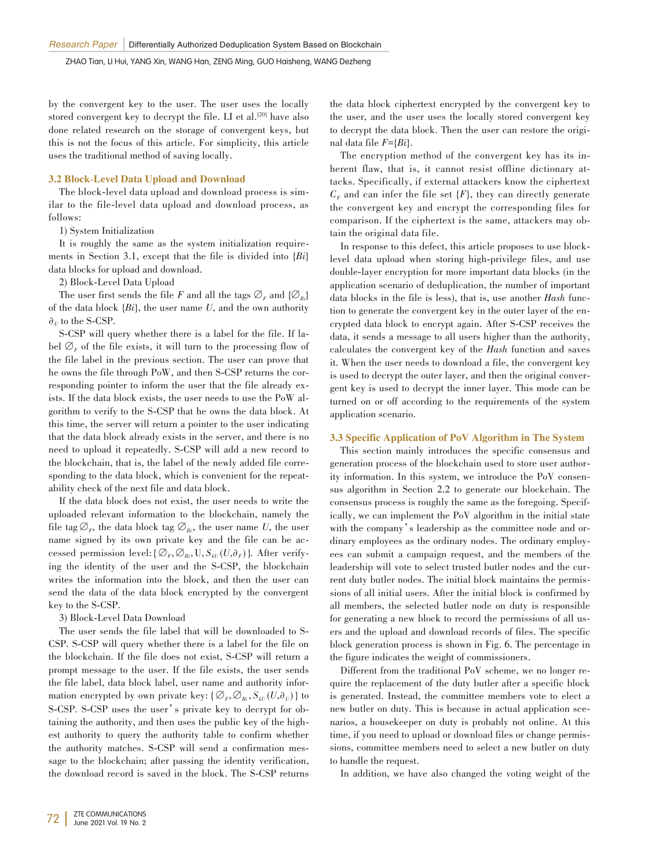by the convergent key to the user. The user uses the locally stored convergent key to decrypt the file. LI et al.<sup>[20]</sup> have also done related research on the storage of convergent keys, but this is not the focus of this article. For simplicity, this article uses the traditional method of saving locally.

#### 3.2 Block-Level Data Upload and Download

The block-level data upload and download process is similar to the file-level data upload and download process, as follows:

1) System Initialization

It is roughly the same as the system initialization require ments in Section 3.1, except that the file is divided into {*Bi*} data blocks for upload and download.

2) Block-Level Data Upload

The user first sends the file *F* and all the tags  $\mathcal{O}_F$  and  $\{\mathcal{O}_{B_i}\}$ of the data block {*Bi*}, the user name *U*, and the own authority  $\partial_U$  to the S-CSP.

S-CSP will query whether there is a label for the file. If label  $\varnothing$ <sub>*F*</sub> of the file exists, it will turn to the processing flow of the file label in the previous section. The user can prove that he owns the file through PoW, and then S-CSP returns the corresponding pointer to inform the user that the file already exists. If the data block exists, the user needs to use the PoW algorithm to verify to the S-CSP that he owns the data block. At this time, the server will return a pointer to the user indicating that the data block already exists in the server, and there is no need to upload it repeatedly. S-CSP will add a new record to the blockchain, that is, the label of the newly added file corresponding to the data block, which is convenient for the repeatability check of the next file and data block.

If the data block does not exist, the user needs to write the uploaded relevant information to the blockchain, namely the file tag  $\mathcal{O}_F$ , the data block tag  $\mathcal{O}_{Bi}$ , the user name *U*, the user name signed by its own private key and the file can be accessed permission level: { $\varnothing_F$ ,  $\varnothing_{B_i}$ , U,  $S_{kU}(U, \partial_F)$ }. After verifying the identity of the user and the S-CSP, the blockchain writes the information into the block, and then the user can send the data of the data block encrypted by the convergent key to the S-CSP.

3) Block-Level Data Download

The user sends the file label that will be downloaded to S-CSP. S-CSP will query whether there is a label for the file on the blockchain. If the file does not exist, S-CSP will return a prompt message to the user. If the file exists, the user sends the file label, data block label, user name and authority information encrypted by own private key:  $\{\emptyset_F, \emptyset_{B_i}, S_{kU}(U, \partial_U)\}\)$  to S-CSP. S-CSP uses the user's private key to decrypt for obtaining the authority, and then uses the public key of the highest authority to query the authority table to confirm whether the authority matches. S-CSP will send a confirmation message to the blockchain; after passing the identity verification, the download record is saved in the block. The S-CSP returns

the data block ciphertext encrypted by the convergent key to the user, and the user uses the locally stored convergent key to decrypt the data block. Then the user can restore the original data file *F*={*Bi*}.

The encryption method of the convergent key has its inherent flaw, that is, it cannot resist offline dictionary attacks. Specifically, if external attackers know the ciphertext  $C_F$  and can infer the file set  $\{F\}$ , they can directly generate the convergent key and encrypt the corresponding files for comparison. If the ciphertext is the same, attackers may obtain the original data file.

In response to this defect, this article proposes to use blocklevel data upload when storing high-privilege files, and use double-layer encryption for more important data blocks (in the application scenario of deduplication, the number of important data blocks in the file is less), that is, use another *Hash* function to generate the convergent key in the outer layer of the encrypted data block to encrypt again. After S-CSP receives the data, it sends a message to all users higher than the authority, calculates the convergent key of the *Hash* function and saves it. When the user needs to download a file, the convergent key is used to decrypt the outer layer, and then the original convergent key is used to decrypt the inner layer. This mode can be turned on or off according to the requirements of the system application scenario.

#### 3.3 Specific Application of PoV Algorithm in The System

This section mainly introduces the specific consensus and generation process of the blockchain used to store user authority information. In this system, we introduce the PoV consensus algorithm in Section 2.2 to generate our blockchain. The consensus process is roughly the same as the foregoing. Specifically, we can implement the PoV algorithm in the initial state with the company's leadership as the committee node and ordinary employees as the ordinary nodes. The ordinary employees can submit a campaign request, and the members of the leadership will vote to select trusted butler nodes and the current duty butler nodes. The initial block maintains the permissions of all initial users. After the initial block is confirmed by all members, the selected butler node on duty is responsible for generating a new block to record the permissions of all users and the upload and download records of files. The specific block generation process is shown in Fig. 6. The percentage in the figure indicates the weight of commissioners.

Different from the traditional PoV scheme, we no longer require the replacement of the duty butler after a specific block is generated. Instead, the committee members vote to elect a new butler on duty. This is because in actual application scenarios, a housekeeper on duty is probably not online. At this time, if you need to upload or download files or change permissions, committee members need to select a new butler on duty to handle the request.

In addition, we have also changed the voting weight of the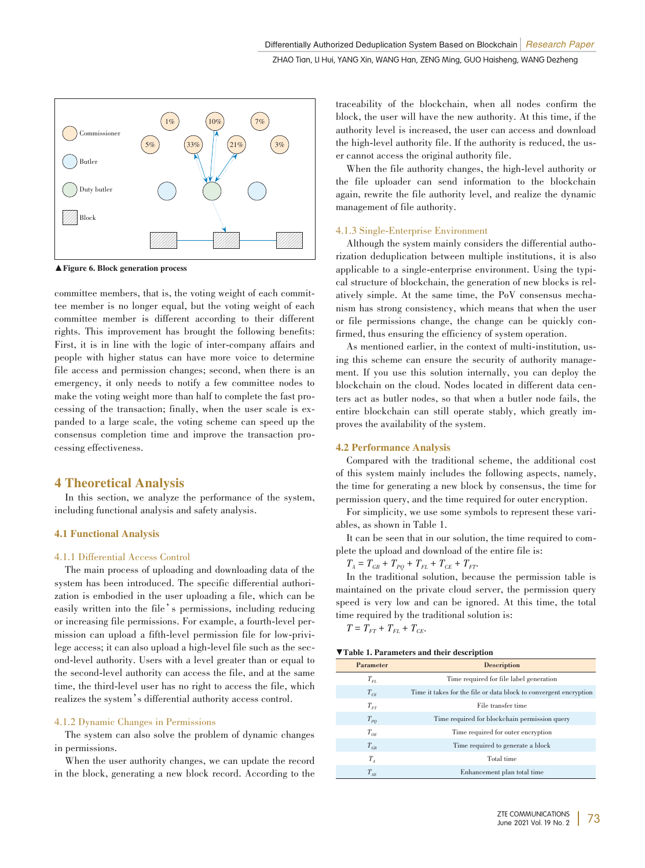

▲ Figure 6. Block generation process

committee members, that is, the voting weight of each committee member is no longer equal, but the voting weight of each committee member is different according to their different rights. This improvement has brought the following benefits: First, it is in line with the logic of inter-company affairs and people with higher status can have more voice to determine file access and permission changes; second, when there is an emergency, it only needs to notify a few committee nodes to make the voting weight more than half to complete the fast processing of the transaction; finally, when the user scale is expanded to a large scale, the voting scheme can speed up the consensus completion time and improve the transaction processing effectiveness.

# 4 Theoretical Analysis

In this section, we analyze the performance of the system, including functional analysis and safety analysis.

#### 4.1 Functional Analysis

#### 4.1.1 Differential Access Control

The main process of uploading and downloading data of the system has been introduced. The specific differential authorization is embodied in the user uploading a file, which can be easily written into the file's permissions, including reducing or increasing file permissions. For example, a fourth-level permission can upload a fifth-level permission file for low-privilege access; it can also upload a high-level file such as the second-level authority. Users with a level greater than or equal to the second-level authority can access the file, and at the same time, the third-level user has no right to access the file, which realizes the system's differential authority access control.

#### 4.1.2 Dynamic Changes in Permissions

The system can also solve the problem of dynamic changes in permissions.

When the user authority changes, we can update the record in the block, generating a new block record. According to the traceability of the blockchain, when all nodes confirm the block, the user will have the new authority. At this time, if the authority level is increased, the user can access and download the high-level authority file. If the authority is reduced, the user cannot access the original authority file.

When the file authority changes, the high-level authority or the file uploader can send information to the blockchain again, rewrite the file authority level, and realize the dynamic management of file authority.

#### 4.1.3 Single-Enterprise Environment

Although the system mainly considers the differential authorization deduplication between multiple institutions, it is also applicable to a single-enterprise environment. Using the typical structure of blockchain, the generation of new blocks is relatively simple. At the same time, the PoV consensus mechanism has strong consistency, which means that when the user or file permissions change, the change can be quickly confirmed, thus ensuring the efficiency of system operation.

As mentioned earlier, in the context of multi-institution, using this scheme can ensure the security of authority management. If you use this solution internally, you can deploy the blockchain on the cloud. Nodes located in different data centers act as butler nodes, so that when a butler node fails, the entire blockchain can still operate stably, which greatly improves the availability of the system.

#### 4.2 Performance Analysis

Compared with the traditional scheme, the additional cost of this system mainly includes the following aspects, namely, the time for generating a new block by consensus, the time for permission query, and the time required for outer encryption.

For simplicity, we use some symbols to represent these variables, as shown in Table 1.

It can be seen that in our solution, the time required to complete the upload and download of the entire file is:

 $T_A = T_{GB} + T_{PO} + T_{FL} + T_{CE} + T_{FT}$ 

In the traditional solution, because the permission table is maintained on the private cloud server, the permission query speed is very low and can be ignored. At this time, the total time required by the traditional solution is:<br> $T = T_{rr} + T_{cr} + T_{cr}$ .

$$
T = T_{FT} + T_{FL} + T_{CE}.
$$

| ▼Table 1. Parameters and their description |  |  |  |
|--------------------------------------------|--|--|--|
|--------------------------------------------|--|--|--|

| Parameter                   | Description                                                       |  |
|-----------------------------|-------------------------------------------------------------------|--|
| $T_{FL}$                    | Time required for file label generation                           |  |
| $T_{CF}$                    | Time it takes for the file or data block to convergent encryption |  |
| $T_{rr}$                    | File transfer time                                                |  |
| $T_{PO}$                    | Time required for blockchain permission query                     |  |
| $T_{\alpha F}$              | Time required for outer encryption                                |  |
| $T_{\scriptscriptstyle GB}$ | Time required to generate a block                                 |  |
| $T_{A}$                     | Total time                                                        |  |
| $T_{AE}$                    | Enhancement plan total time                                       |  |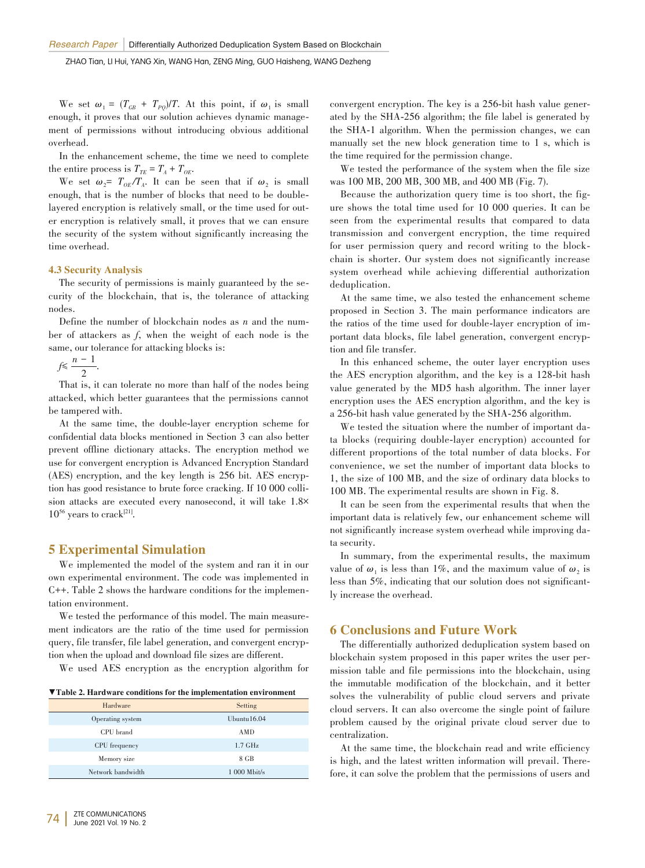We set  $\omega_1 = (T_{GB} + T_{PQ})/T$ . At this point, if  $\omega_1$  is small enough, it proves that our solution achieves dynamic management of permissions without introducing obvious additional overhead.

In the enhancement scheme, the time we need to complete the entire process is  $T_{TE} = T_A + T_{OE}$ .

We set  $\omega_2 = T_{OE}/T_A$ . It can be seen that if  $\omega_2$  is small enough, that is the number of blocks that need to be doublelayered encryption is relatively small, or the time used for outer encryption is relatively small, it proves that we can ensure the security of the system without significantly increasing the time overhead.

#### 4.3 Security Analysis

The security of permissions is mainly guaranteed by the security of the blockchain, that is, the tolerance of attacking nodes.

Define the number of blockchain nodes as *n* and the number of attackers as *f*, when the weight of each node is the same, our tolerance for attacking blocks is:

*f*≤  $\frac{n-1}{2}$ .

That is, it can tolerate no more than half of the nodes being attacked, which better guarantees that the permissions cannot be tampered with.

At the same time, the double-layer encryption scheme for confidential data blocks mentioned in Section 3 can also better prevent offline dictionary attacks. The encryption method we use for convergent encryption is Advanced Encryption Standard (AES) encryption, and the key length is 256 bit. AES encryption has good resistance to brute force cracking. If 10 000 collision attacks are executed every nanosecond, it will take 1.8×  $10^{56}$  years to crack<sup>[21]</sup>.

## 5 Experimental Simulation

We implemented the model of the system and ran it in our own experimental environment. The code was implemented in C<sup>++</sup>. Table 2 shows the hardware conditions for the implementation environment.

We tested the performance of this model. The main measure ment indicators are the ratio of the time used for permission query, file transfer, file label generation, and convergent encryp tion when the upload and download file sizes are different.

We used AES encryption as the encryption algorithm for

▼Table 2. Hardware conditions for the implementation environment

| Hardware          | Setting        |
|-------------------|----------------|
| Operating system  | Ubuntu $16.04$ |
| CPU brand         | AMD            |
| CPU frequency     | $1.7$ GHz      |
| Memory size       | 8 GB           |
| Network bandwidth | $1000$ Mbit/s  |

convergent encryption. The key is a 256-bit hash value generated by the SHA-256 algorithm; the file label is generated by the SHA-1 algorithm. When the permission changes, we can manually set the new block generation time to 1 s, which is the time required for the permission change.

We tested the performance of the system when the file size was 100 MB, 200 MB, 300 MB, and 400 MB (Fig. 7).

Because the authorization query time is too short, the figure shows the total time used for 10 000 queries. It can be seen from the experimental results that compared to data transmission and convergent encryption, the time required for user permission query and record writing to the blockchain is shorter. Our system does not significantly increase system overhead while achieving differential authorization deduplication.

At the same time, we also tested the enhancement scheme proposed in Section 3. The main performance indicators are the ratios of the time used for double-layer encryption of im⁃ portant data blocks, file label generation, convergent encryption and file transfer.

In this enhanced scheme, the outer layer encryption uses the AES encryption algorithm, and the key is a 128-bit hash value generated by the MD5 hash algorithm. The inner layer encryption uses the AES encryption algorithm, and the key is a 256-bit hash value generated by the SHA-256 algorithm.

We tested the situation where the number of important data blocks (requiring double-layer encryption) accounted for different proportions of the total number of data blocks. For convenience, we set the number of important data blocks to 1, the size of 100 MB, and the size of ordinary data blocks to 100 MB. The experimental results are shown in Fig. 8.

It can be seen from the experimental results that when the important data is relatively few, our enhancement scheme will not significantly increase system overhead while improving data security.

In summary, from the experimental results, the maximum value of  $\omega_1$  is less than 1%, and the maximum value of  $\omega_2$  is less than 5%, indicating that our solution does not significantly increase the overhead.

## 6 Conclusions and Future Work

The differentially authorized deduplication system based on blockchain system proposed in this paper writes the user permission table and file permissions into the blockchain, using the immutable modification of the blockchain, and it better solves the vulnerability of public cloud servers and private cloud servers. It can also overcome the single point of failure problem caused by the original private cloud server due to centralization.

At the same time, the blockchain read and write efficiency is high, and the latest written information will prevail. Therefore, it can solve the problem that the permissions of users and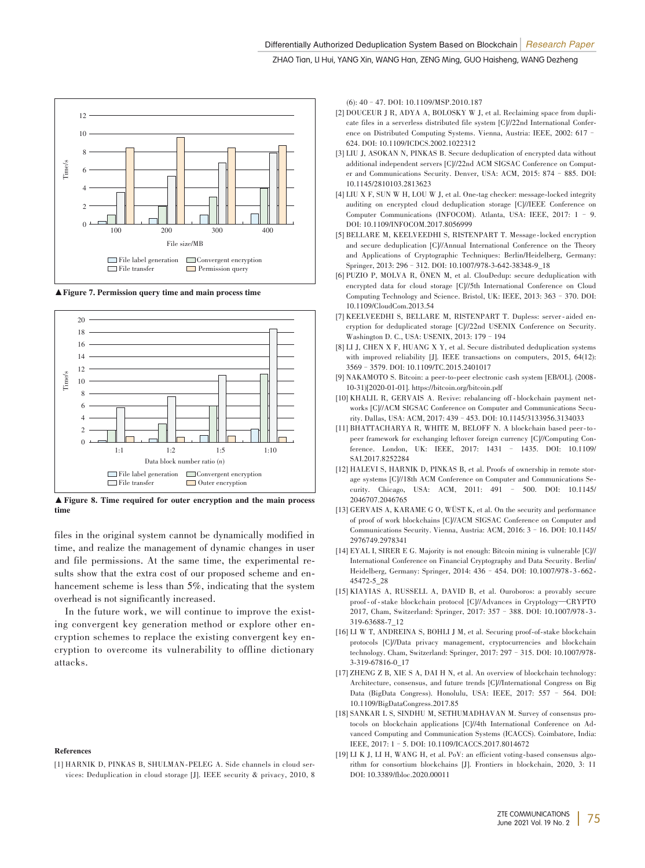

▲Figure 7. Permission query time and main process time



▲Figure 8. Time required for outer encryption and the main process time

files in the original system cannot be dynamically modified in time, and realize the management of dynamic changes in user and file permissions. At the same time, the experimental results show that the extra cost of our proposed scheme and enhancement scheme is less than 5%, indicating that the system overhead is not significantly increased.

In the future work, we will continue to improve the existing convergent key generation method or explore other encryption schemes to replace the existing convergent key encryption to overcome its vulnerability to offline dictionary attacks.

#### References

[1] HARNIK D, PINKAS B, SHULMAN-PELEG A. Side channels in cloud services: Deduplication in cloud storage [J]. IEEE security & privacy, 2010, 8 (6): 40–47. DOI: 10.1109/MSP.2010.187

- [2] DOUCEUR J R, ADYA A, BOLOSKY W J, et al. Reclaiming space from duplicate files in a serverless distributed file system [C]//22nd International Conference on Distributed Computing Systems. Vienna, Austria: IEEE, 2002: 617– 624. DOI: 10.1109/ICDCS.2002.1022312
- [3] LIU J, ASOKAN N, PINKAS B. Secure deduplication of encrypted data without additional independent servers [C]//22nd ACM SIGSAC Conference on Computer and Communications Security. Denver, USA: ACM, 2015: 874–885. DOI: 10.1145/2810103.2813623
- [4] LIU X F, SUN W H, LOU W J, et al. One-tag checker: message-locked integrity auditing on encrypted cloud deduplication storage [C]//IEEE Conference on Computer Communications (INFOCOM). Atlanta, USA: IEEE, 2017: 1 – 9. DOI: 10.1109/INFOCOM.2017.8056999
- [5] BELLARE M, KEELVEEDHI S, RISTENPART T. Message-locked encryption and secure deduplication [C]//Annual International Conference on the Theory and Applications of Cryptographic Techniques: Berlin/Heidelberg, Germany: Springer, 2013: 296 - 312. DOI: 10.1007/978-3-642-38348-9\_18
- [6] PUZIO P, MOLVA R, ÖNEN M, et al. ClouDedup: secure deduplication with encrypted data for cloud storage [C]//5th International Conference on Cloud Computing Technology and Science. Bristol, UK: IEEE, 2013: 363–370. DOI: 10.1109/CloudCom.2013.54
- [7] KEELVEEDHI S, BELLARE M, RISTENPART T. Dupless: server-aided encryption for deduplicated storage [C]//22nd USENIX Conference on Security. Washington D. C., USA: USENIX, 2013: 179–194
- [8] LI J, CHEN X F, HUANG X Y, et al. Secure distributed deduplication systems with improved reliability [J]. IEEE transactions on computers, 2015, 64(12): 3569–3579. DOI: 10.1109/TC.2015.2401017
- [9] NAKAMOTO S. Bitcoin: a peer-to-peer electronic cash system [EB/OL]. (2008-10⁃31)[2020⁃01⁃01]. https://bitcoin.org/bitcoin.pdf
- [10] KHALIL R, GERVAIS A. Revive: rebalancing off-blockchain payment networks [C]//ACM SIGSAC Conference on Computer and Communications Security. Dallas, USA: ACM, 2017: 439–453. DOI: 10.1145/3133956.3134033
- [11] BHATTACHARYA R, WHITE M, BELOFF N. A blockchain based peer-topeer framework for exchanging leftover foreign currency [C]//Computing Conference. London, UK: IEEE, 2017: 1431 – 1435. DOI: 10.1109/ SAI.2017.8252284
- [12] HALEVI S, HARNIK D, PINKAS B, et al. Proofs of ownership in remote storage systems [C]//18th ACM Conference on Computer and Communications Security. Chicago, USA: ACM, 2011: 491 – 500. DOI: 10.1145/ 2046707.2046765
- [13] GERVAIS A, KARAME G O, WÜST K, et al. On the security and performance of proof of work blockchains [C]//ACM SIGSAC Conference on Computer and Communications Security. Vienna, Austria: ACM, 2016: 3–16. DOI: 10.1145/ 2976749.2978341
- [14] EYAL I, SIRER E G. Majority is not enough: Bitcoin mining is vulnerable  $[C]$ // International Conference on Financial Cryptography and Data Security. Berlin/ Heidelberg, Germany: Springer, 2014: 436 - 454. DOI: 10.1007/978-3-662-45472⁃5\_28
- [15] KIAYIAS A, RUSSELL A, DAVID B, et al. Ouroboros: a provably secure proof-of-stake blockchain protocol [C]//Advances in Cryptology-CRYPTO 2017, Cham, Switzerland: Springer, 2017: 357 - 388. DOI: 10.1007/978-3-319⁃63688⁃7\_12
- $[16]$  LI W T, ANDREINA S, BOHLI J M, et al. Securing proof-of-stake blockchain protocols [C]//Data privacy management, cryptocurrencies and blockchain technology. Cham, Switzerland: Springer, 2017: 297 - 315. DOI: 10.1007/978-3⁃319⁃67816⁃0\_17
- [17] ZHENG Z B, XIE S A, DAI H N, et al. An overview of blockchain technology: Architecture, consensus, and future trends [C]//International Congress on Big Data (BigData Congress). Honolulu, USA: IEEE, 2017: 557 – 564. DOI: 10.1109/BigDataCongress.2017.85
- [18] SANKAR L S, SINDHU M, SETHUMADHAVAN M. Survey of consensus protocols on blockchain applications [C]//4th International Conference on Advanced Computing and Communication Systems (ICACCS). Coimbatore, India: IEEE, 2017: 1–5. DOI: 10.1109/ICACCS.2017.8014672
- [19] LI K J, LI H, WANG H, et al. PoV: an efficient voting-based consensus algorithm for consortium blockchains [J]. Frontiers in blockchain, 2020, 3: 11 DOI: 10.3389/fbloc.2020.00011